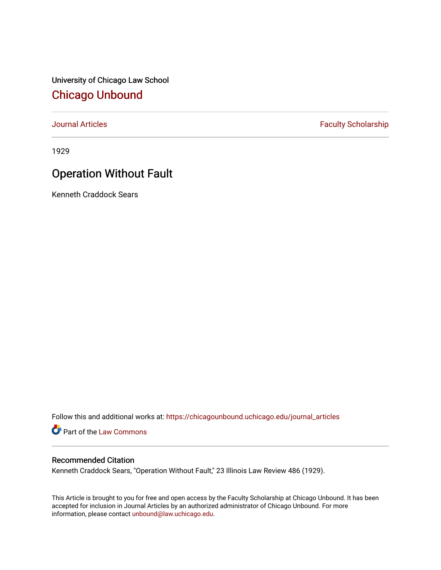University of Chicago Law School [Chicago Unbound](https://chicagounbound.uchicago.edu/)

[Journal Articles](https://chicagounbound.uchicago.edu/journal_articles) **Faculty Scholarship Faculty Scholarship** 

1929

## Operation Without Fault

Kenneth Craddock Sears

Follow this and additional works at: [https://chicagounbound.uchicago.edu/journal\\_articles](https://chicagounbound.uchicago.edu/journal_articles?utm_source=chicagounbound.uchicago.edu%2Fjournal_articles%2F9277&utm_medium=PDF&utm_campaign=PDFCoverPages) 

Part of the [Law Commons](http://network.bepress.com/hgg/discipline/578?utm_source=chicagounbound.uchicago.edu%2Fjournal_articles%2F9277&utm_medium=PDF&utm_campaign=PDFCoverPages)

## Recommended Citation

Kenneth Craddock Sears, "Operation Without Fault," 23 Illinois Law Review 486 (1929).

This Article is brought to you for free and open access by the Faculty Scholarship at Chicago Unbound. It has been accepted for inclusion in Journal Articles by an authorized administrator of Chicago Unbound. For more information, please contact [unbound@law.uchicago.edu](mailto:unbound@law.uchicago.edu).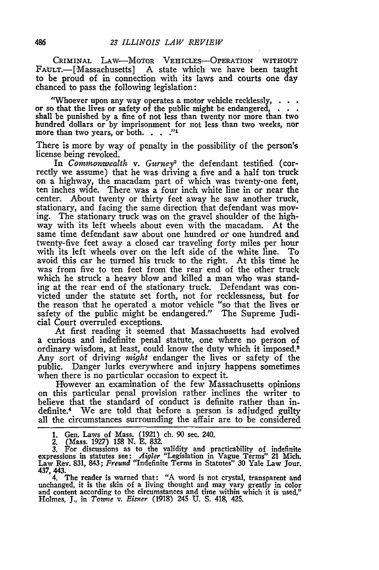CRIMINAL LAW-MOTOR VEHICLES-OPERATION WITHOUT FAULT.-[Massachusetts] A state which we have been taught to be proud of in connection with its laws and courts one day chanced to pass the following legislation:

"Whoever upon any way operates a motor vehicle recklessly, or so that the lives or safety of the public might be endangered, **.** shall be punished by a fine of not less than twenty nor more than two hundred dollars or by imprisonment for not less than two weeks, nor more than two years, or both. **.. "I**

There is more **by** way of penalty in the possibility of the person's license being revoked.

In *Commonwealth v. Gurney2* the defendant testified (correctly we assume) that he was driving a five and a half ton truck on a highway, the macadam part of which was twenty-one feet, ten inches wide. There was a four inch white line in or near the center. About twenty or thirty feet away he saw another truck, stationary, and facing the same direction that defendant was moving. The stationary truck was on the gravel shoulder of the highway with its left wheels about even with the macadam. At the same time defendant saw about one hundred or one hundred and twenty-five feet away a closed car traveling forty miles per hour with its left wheels over on the left side of the white line. To avoid this car he turned his truck to the right. At this time he was from five to ten feet from the rear end of the other truck which he struck a heavy blow and killed a man who was standing at the rear end of the stationary truck. Defendant was convicted under the statute set forth, not for recklessness, but for the reason that he operated a motor vehicle "so that the lives or safety of the public might be endangered." The Supreme Judicial Court overruled exceptions.

At first reading it seemed that Massachusetts had evolved a curious and indefinite penal statute, one where no person of ordinary wisdom, at least, could know the duty which it imposed.3 Any sort of driving *might* endanger the lives or safety of the public. Danger lurks everywhere and injury happens sometimes when there is no particular occasion to expect it.

However an examination of the few Massachusetts opinions on this particular penal provision rather inclines the writer to believe that the standard of conduct is definite rather than indefinite.4 We are told that before a person is adjudged guilty all the circumstances surrounding the affair are to be considered

unchanged, it is the skin of a living thought and may vary greatly in color and content according to the circumstances and time within which it is used,"<br>Holmes, J., in *Towne v. Eisner* (1918) 245 U. S. 418, 425.

**<sup>1.</sup>** Gen. Laws of Mass. (1921) ch. 90 sec. 240.

<sup>2. (</sup>Mass. 1927) **158** N. **E. 832.**

<sup>3.</sup> For discussions as to the validity and practicability of indefinite expressions in statutes see: *Aigler* "Legislation in Vague Terms" 21 Mich.<br>Law Rev. 831, 843; *Freund* "Indefinite Terms in Statutes" 30 Yale Law Jour 437, 443. 4. The reader is warned that: "A word is not crystal, transparent and